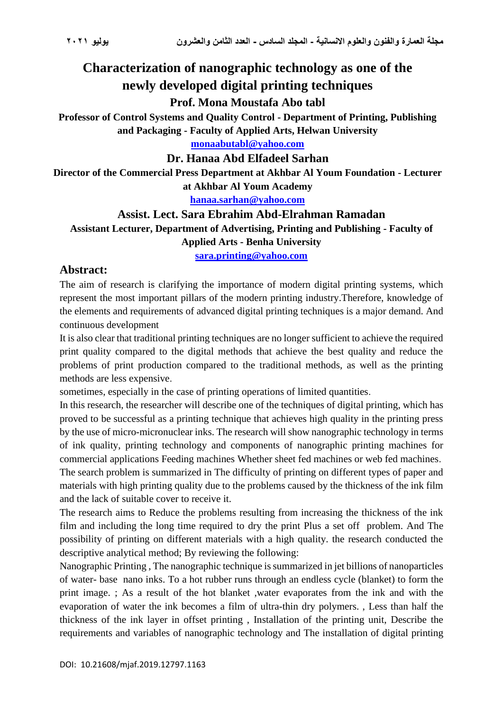# **Characterization of nanographic technology as one of the newly developed digital printing techniques**

### **Prof. Mona Moustafa Abo tabl**

**Professor of Control Systems and Quality Control - Department of Printing, Publishing and Packaging - Faculty of Applied Arts, Helwan University**

**[monaabutabl@yahoo.com](mailto:monaabutabl@yahoo.com)**

#### **Dr. Hanaa Abd Elfadeel Sarhan**

**Director of the Commercial Press Department at Akhbar Al Youm Foundation - Lecturer at Akhbar Al Youm Academy**

**[hanaa.sarhan@yahoo.com](mailto:hanaa.sarhan@yahoo.com)**

### **Assist. Lect. Sara Ebrahim Abd-Elrahman Ramadan**

**Assistant Lecturer, Department of Advertising, Printing and Publishing - Faculty of Applied Arts - Benha University [sara.printing@yahoo.com](mailto:sara.printing@yahoo.com)**

#### **Abstract:**

The aim of research is clarifying the importance of modern digital printing systems, which represent the most important pillars of the modern printing industry.Therefore, knowledge of the elements and requirements of advanced digital printing techniques is a major demand. And continuous development

It is also clear that traditional printing techniques are no longer sufficient to achieve the required print quality compared to the digital methods that achieve the best quality and reduce the problems of print production compared to the traditional methods, as well as the printing methods are less expensive.

sometimes, especially in the case of printing operations of limited quantities.

In this research, the researcher will describe one of the techniques of digital printing, which has proved to be successful as a printing technique that achieves high quality in the printing press by the use of micro-micronuclear inks. The research will show nanographic technology in terms of ink quality, printing technology and components of nanographic printing machines for commercial applications Feeding machines Whether sheet fed machines or web fed machines . The search problem is summarized in The difficulty of printing on different types of paper and

materials with high printing quality due to the problems caused by the thickness of the ink film and the lack of suitable cover to receive it.

The research aims to Reduce the problems resulting from increasing the thickness of the ink film and including the long time required to dry the print Plus a set off problem. And The possibility of printing on different materials with a high quality. the research conducted the descriptive analytical method; By reviewing the following:

Nanographic Printing , The nanographic technique issummarized in jet billions of nanoparticles of water- base nano inks. To a hot rubber runs through an endless cycle (blanket) to form the print image. ; As a result of the hot blanket ,water evaporates from the ink and with the evaporation of water the ink becomes a film of ultra-thin dry polymers. , Less than half the thickness of the ink layer in offset printing , Installation of the printing unit, Describe the requirements and variables of nanographic technology and The installation of digital printing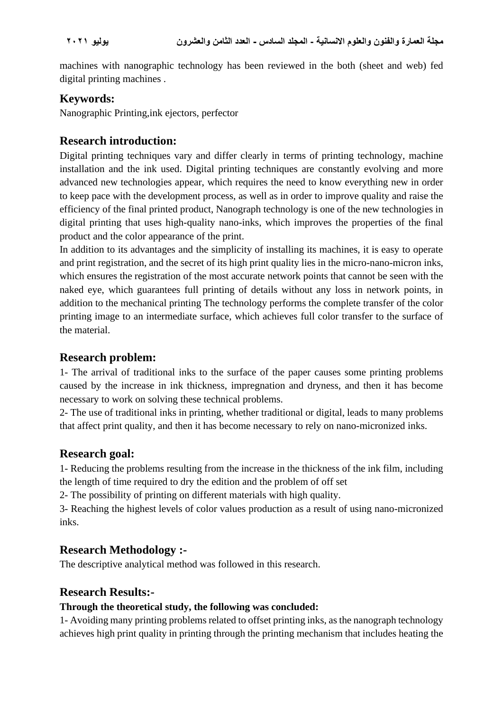machines with nanographic technology has been reviewed in the both (sheet and web) fed digital printing machines .

# **Keywords:**

Nanographic Printing,ink ejectors, perfector

# **Research introduction:**

Digital printing techniques vary and differ clearly in terms of printing technology, machine installation and the ink used. Digital printing techniques are constantly evolving and more advanced new technologies appear, which requires the need to know everything new in order to keep pace with the development process, as well as in order to improve quality and raise the efficiency of the final printed product, Nanograph technology is one of the new technologies in digital printing that uses high-quality nano-inks, which improves the properties of the final product and the color appearance of the print.

In addition to its advantages and the simplicity of installing its machines, it is easy to operate and print registration, and the secret of its high print quality lies in the micro-nano-micron inks, which ensures the registration of the most accurate network points that cannot be seen with the naked eye, which guarantees full printing of details without any loss in network points, in addition to the mechanical printing The technology performs the complete transfer of the color printing image to an intermediate surface, which achieves full color transfer to the surface of the material.

## **Research problem:**

1- The arrival of traditional inks to the surface of the paper causes some printing problems caused by the increase in ink thickness, impregnation and dryness, and then it has become necessary to work on solving these technical problems.

2- The use of traditional inks in printing, whether traditional or digital, leads to many problems that affect print quality, and then it has become necessary to rely on nano-micronized inks.

## **Research goal:**

1- Reducing the problems resulting from the increase in the thickness of the ink film, including the length of time required to dry the edition and the problem of off set

2- The possibility of printing on different materials with high quality.

3- Reaching the highest levels of color values production as a result of using nano-micronized inks.

## **Research Methodology :-**

The descriptive analytical method was followed in this research.

## **Research Results:-**

#### **Through the theoretical study, the following was concluded:**

1- Avoiding many printing problems related to offset printing inks, as the nanograph technology achieves high print quality in printing through the printing mechanism that includes heating the